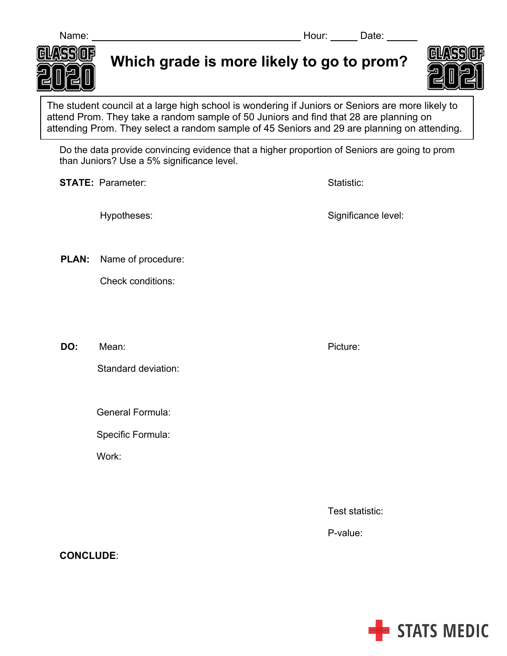

The student council at a large high school is wondering if Juniors or Seniors are more likely to attend Prom. They take a random sample of 50 Juniors and find that 28 are planning on attending Prom. They select a random sample of 45 Seniors and 29 are planning on attending.

Do the data provide convincing evidence that a higher proportion of Seniors are going to prom than Juniors? Use a 5% significance level.

**STATE:** Parameter: STATE: Parameter: Statistic: Statistic: Statistic: Statistic:

Hypotheses: Significance level:

 **PLAN:** Name of procedure:

Check conditions:

**DO:** Mean: Picture:

Standard deviation:

General Formula:

Specific Formula:

Work:

Test statistic:

P-value:





**CONCLUDE**: